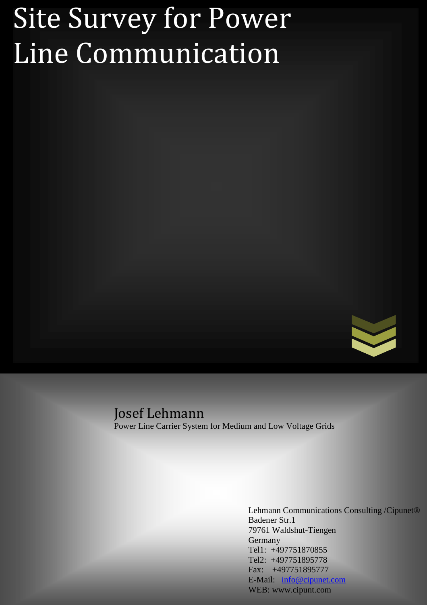# Site Survey for Power Line Communication



# Josef Lehmann

Power Line Carrier System for Medium and Low Voltage Grids

Lehmann Communications Consulting /Cipunet® Badener Str.1 79761 Waldshut-Tiengen Germany Tel1: +497751870855 Tel2: +497751895778 Fax: +497751895777 E-Mail: info@cipunet.com WEB: www.cipunt.com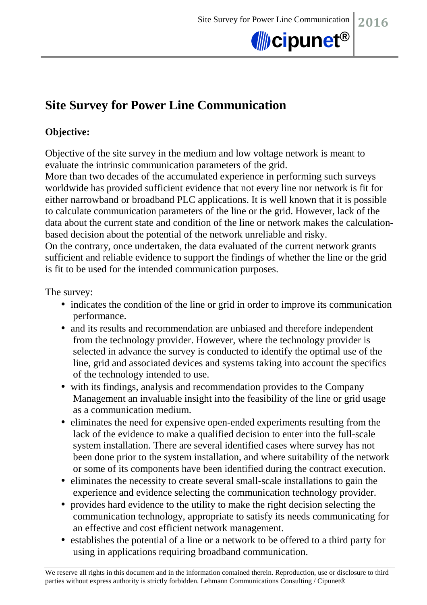

# **Site Survey for Power Line Communication**

## **Objective:**

Objective of the site survey in the medium and low voltage network is meant to evaluate the intrinsic communication parameters of the grid.

More than two decades of the accumulated experience in performing such surveys worldwide has provided sufficient evidence that not every line nor network is fit for either narrowband or broadband PLC applications. It is well known that it is possible to calculate communication parameters of the line or the grid. However, lack of the data about the current state and condition of the line or network makes the calculationbased decision about the potential of the network unreliable and risky. On the contrary, once undertaken, the data evaluated of the current network grants sufficient and reliable evidence to support the findings of whether the line or the grid

is fit to be used for the intended communication purposes.

The survey:

- indicates the condition of the line or grid in order to improve its communication performance.
- and its results and recommendation are unbiased and therefore independent from the technology provider. However, where the technology provider is selected in advance the survey is conducted to identify the optimal use of the line, grid and associated devices and systems taking into account the specifics of the technology intended to use.
- with its findings, analysis and recommendation provides to the Company Management an invaluable insight into the feasibility of the line or grid usage as a communication medium.
- eliminates the need for expensive open-ended experiments resulting from the lack of the evidence to make a qualified decision to enter into the full-scale system installation. There are several identified cases where survey has not been done prior to the system installation, and where suitability of the network or some of its components have been identified during the contract execution.
- eliminates the necessity to create several small-scale installations to gain the experience and evidence selecting the communication technology provider.
- provides hard evidence to the utility to make the right decision selecting the communication technology, appropriate to satisfy its needs communicating for an effective and cost efficient network management.
- establishes the potential of a line or a network to be offered to a third party for using in applications requiring broadband communication.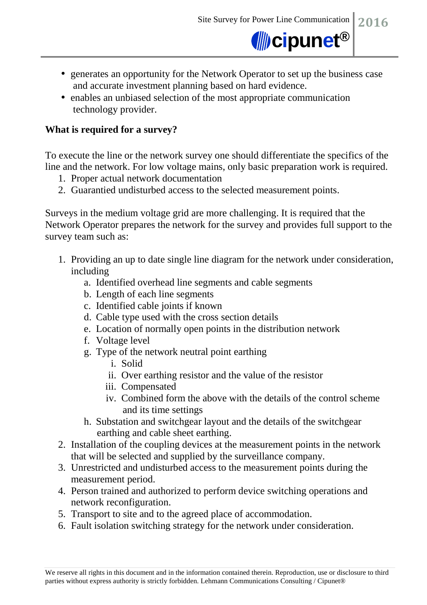

- generates an opportunity for the Network Operator to set up the business case and accurate investment planning based on hard evidence.
- enables an unbiased selection of the most appropriate communication technology provider.

#### **What is required for a survey?**

To execute the line or the network survey one should differentiate the specifics of the line and the network. For low voltage mains, only basic preparation work is required.

- 1. Proper actual network documentation
- 2. Guarantied undisturbed access to the selected measurement points.

Surveys in the medium voltage grid are more challenging. It is required that the Network Operator prepares the network for the survey and provides full support to the survey team such as:

- 1. Providing an up to date single line diagram for the network under consideration, including
	- a. Identified overhead line segments and cable segments
	- b. Length of each line segments
	- c. Identified cable joints if known
	- d. Cable type used with the cross section details
	- e. Location of normally open points in the distribution network
	- f. Voltage level
	- g. Type of the network neutral point earthing
		- i. Solid
		- ii. Over earthing resistor and the value of the resistor
		- iii. Compensated
		- iv. Combined form the above with the details of the control scheme and its time settings
	- h. Substation and switchgear layout and the details of the switchgear earthing and cable sheet earthing.
- 2. Installation of the coupling devices at the measurement points in the network that will be selected and supplied by the surveillance company.
- 3. Unrestricted and undisturbed access to the measurement points during the measurement period.
- 4. Person trained and authorized to perform device switching operations and network reconfiguration.
- 5. Transport to site and to the agreed place of accommodation.
- 6. Fault isolation switching strategy for the network under consideration.